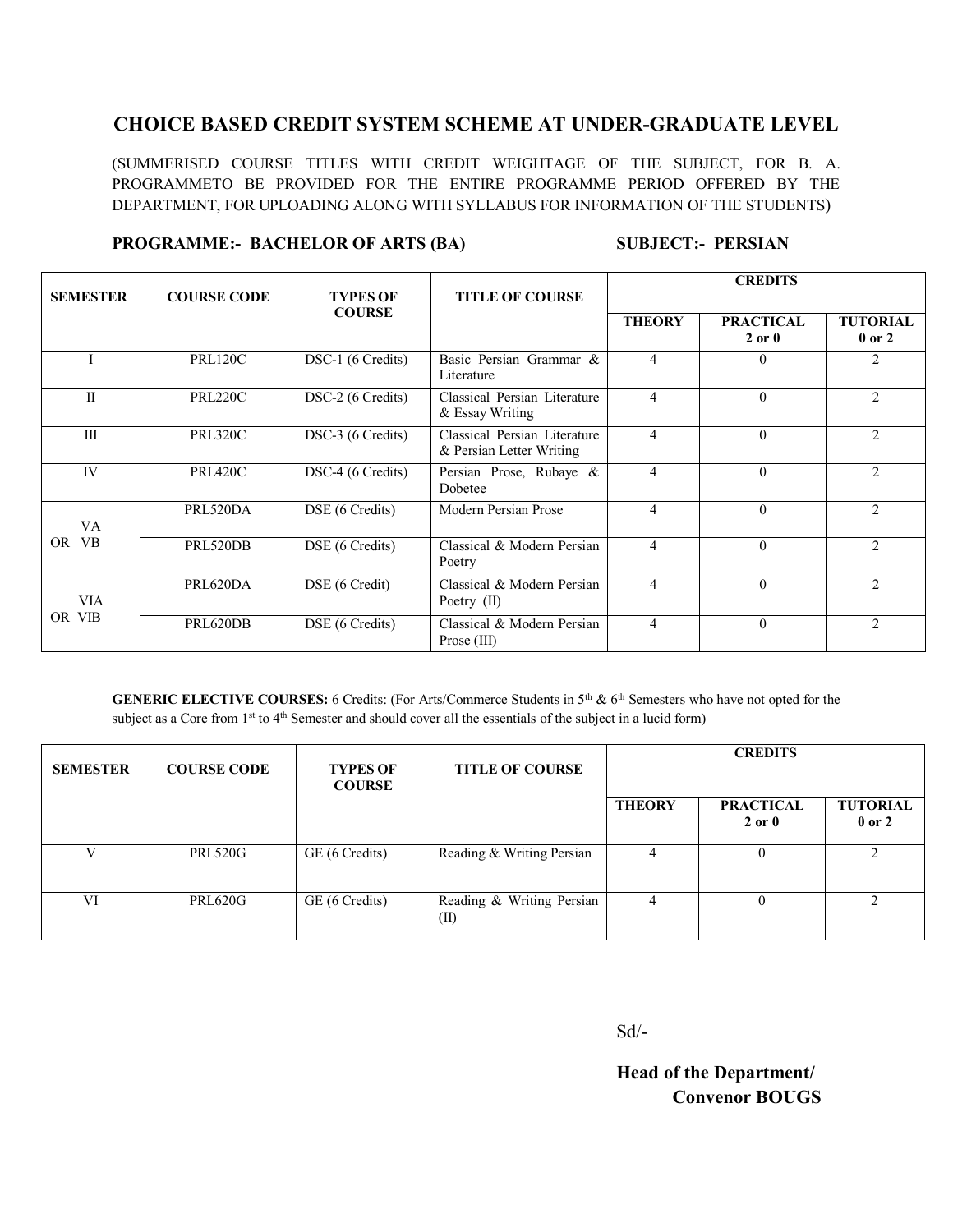## **CHOICE BASED CREDIT SYSTEM SCHEME AT UNDER-GRADUATE LEVEL**

(SUMMERISED COURSE TITLES WITH CREDIT WEIGHTAGE OF THE SUBJECT, FOR B. A. PROGRAMMETO BE PROVIDED FOR THE ENTIRE PROGRAMME PERIOD OFFERED BY THE DEPARTMENT, FOR UPLOADING ALONG WITH SYLLABUS FOR INFORMATION OF THE STUDENTS)

#### **PROGRAMME:- BACHELOR OF ARTS (BA) SUBJECT:- PERSIAN**

| <b>SEMESTER</b>      | <b>COURSE CODE</b> | <b>TYPES OF</b><br><b>COURSE</b> | <b>TITLE OF COURSE</b>                                   | <b>CREDITS</b>           |                                |                               |
|----------------------|--------------------|----------------------------------|----------------------------------------------------------|--------------------------|--------------------------------|-------------------------------|
|                      |                    |                                  |                                                          | <b>THEORY</b>            | <b>PRACTICAL</b><br>$2$ or $0$ | <b>TUTORIAL</b><br>$0$ or $2$ |
|                      | <b>PRL120C</b>     | DSC-1 (6 Credits)                | Basic Persian Grammar &<br>Literature                    | 4                        | $\Omega$                       | 2                             |
| $\mathbf{I}$         | <b>PRL220C</b>     | DSC-2 (6 Credits)                | Classical Persian Literature<br>& Essay Writing          | 4                        | $\Omega$                       | 2                             |
| III                  | <b>PRL320C</b>     | DSC-3 (6 Credits)                | Classical Persian Literature<br>& Persian Letter Writing | 4                        | $\Omega$                       | 2                             |
| <b>IV</b>            | PRL420C            | DSC-4 (6 Credits)                | Persian Prose, Rubaye &<br>Dobetee                       | $\overline{\mathcal{A}}$ | $\Omega$                       | $\mathfrak{D}$                |
| VA.<br>OR VB         | PRL520DA           | DSE (6 Credits)                  | Modern Persian Prose                                     | 4                        | $\Omega$                       | $\mathfrak{D}$                |
|                      | PRL520DB           | DSE (6 Credits)                  | Classical & Modern Persian<br>Poetry                     | 4                        | $\Omega$                       | 2                             |
| <b>VIA</b><br>OR VIB | PRL620DA           | DSE (6 Credit)                   | Classical & Modern Persian<br>Poetry (II)                | $\overline{\mathcal{A}}$ | $\Omega$                       | $\mathfrak{D}$                |
|                      | PRL620DB           | DSE (6 Credits)                  | Classical & Modern Persian<br>Prose $(III)$              | 4                        | $\Omega$                       | $\mathfrak{D}$                |

**GENERIC ELECTIVE COURSES:** 6 Credits: (For Arts/Commerce Students in 5<sup>th</sup> & 6<sup>th</sup> Semesters who have not opted for the subject as a Core from 1<sup>st</sup> to 4<sup>th</sup> Semester and should cover all the essentials of the subject in a lucid form)

| <b>SEMESTER</b> | <b>COURSE CODE</b> | <b>TYPES OF</b><br><b>COURSE</b> | <b>TITLE OF COURSE</b>            | <b>CREDITS</b> |                                |                               |
|-----------------|--------------------|----------------------------------|-----------------------------------|----------------|--------------------------------|-------------------------------|
|                 |                    |                                  |                                   | <b>THEORY</b>  | <b>PRACTICAL</b><br>$2$ or $0$ | <b>TUTORIAL</b><br>$0$ or $2$ |
| V               | <b>PRL520G</b>     | GE (6 Credits)                   | Reading & Writing Persian         | 4              |                                |                               |
| VI              | <b>PRL620G</b>     | GE (6 Credits)                   | Reading & Writing Persian<br>(II) | 4              |                                |                               |

Sd/-

**Head of the Department/ Convenor BOUGS**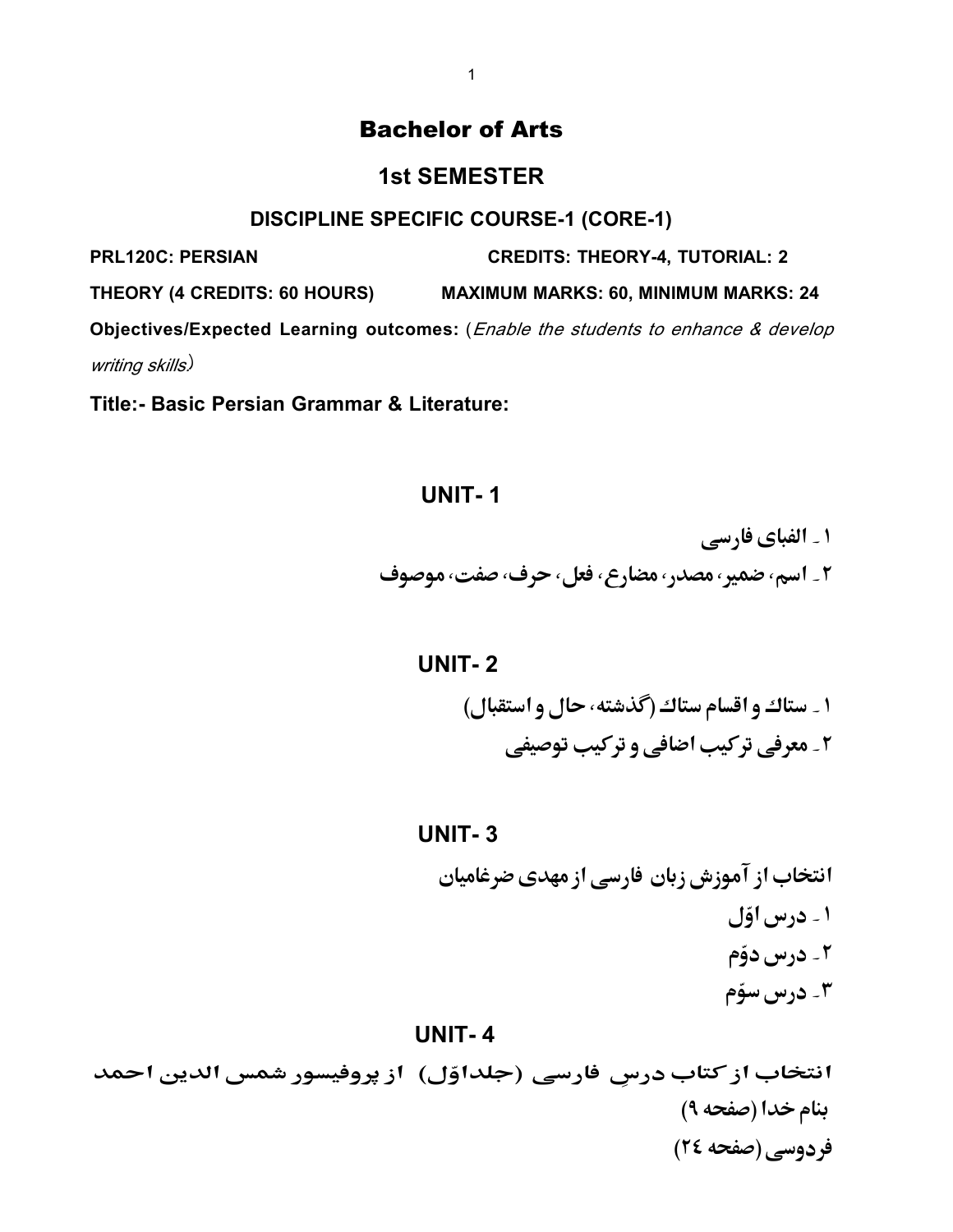# Bachelor of Arts

## **1st SEMESTER**

### **DISCIPLINE SPECIFIC COURSE-1 (CORE-1)**

**PRL120C: PERSIAN CREDITS: THEORY-4, TUTORIAL: 2**

**THEORY (4 CREDITS: 60 HOURS) MAXIMUM MARKS: 60, MINIMUM MARKS: 24** 

**Objectives/Expected Learning outcomes:** (Enable the students to enhance & develop writing skills)

**Title:- Basic Persian Grammar & Literature:** 

## **UNIT- 1**

۱ ۔ الفبای فارسی ٢\_ اسم، ضمير، مصدر، مضارع، فعل، حرف، صفت، موصوف

# **UNIT- 2**

۱ \_ ستاك و اقسام ستاك (گذشته، حال و استقبال) ۲۔ معرفی ترکیب اضافی و ترکیب توصیفی

#### **UNIT- 3**

 

### **UNIT- 4**

انتخاب از کتاب درسِ فارسی (جلداوّل) ۖ از پروفیسور شمس الدین احمد بنام خدا (صفحه ۹) فردوسي (صفحه ٢٤)